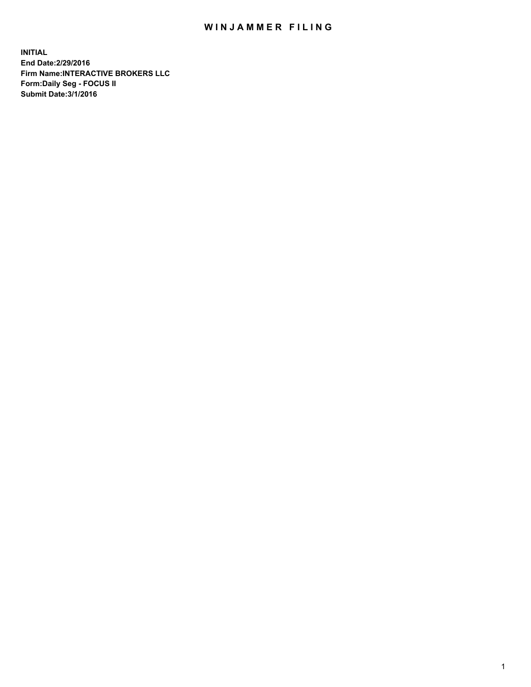## WIN JAMMER FILING

**INITIAL End Date:2/29/2016 Firm Name:INTERACTIVE BROKERS LLC Form:Daily Seg - FOCUS II Submit Date:3/1/2016**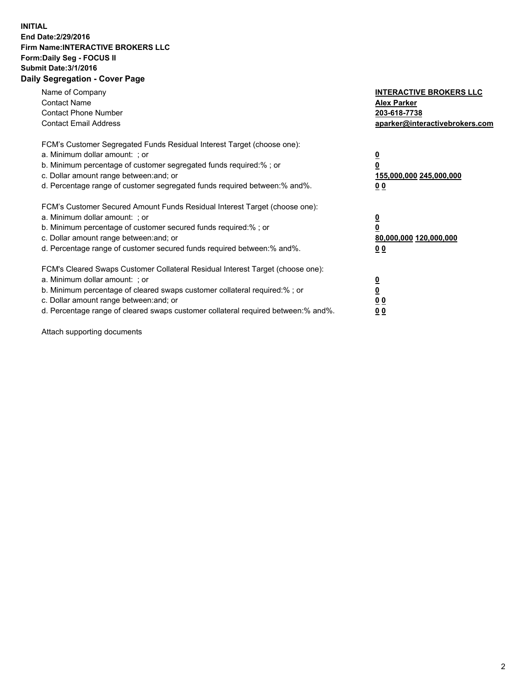## **INITIAL End Date:2/29/2016 Firm Name:INTERACTIVE BROKERS LLC Form:Daily Seg - FOCUS II Submit Date:3/1/2016 Daily Segregation - Cover Page**

| Name of Company<br><b>Contact Name</b><br><b>Contact Phone Number</b><br><b>Contact Email Address</b>                                                                                                                                                                                                                          | <b>INTERACTIVE BROKERS LLC</b><br><b>Alex Parker</b><br>203-618-7738<br>aparker@interactivebrokers.com |
|--------------------------------------------------------------------------------------------------------------------------------------------------------------------------------------------------------------------------------------------------------------------------------------------------------------------------------|--------------------------------------------------------------------------------------------------------|
| FCM's Customer Segregated Funds Residual Interest Target (choose one):<br>a. Minimum dollar amount: ; or<br>b. Minimum percentage of customer segregated funds required:%; or<br>c. Dollar amount range between: and; or<br>d. Percentage range of customer segregated funds required between:% and%.                          | <u>0</u><br>155,000,000 245,000,000<br><u>00</u>                                                       |
| FCM's Customer Secured Amount Funds Residual Interest Target (choose one):<br>a. Minimum dollar amount: ; or<br>b. Minimum percentage of customer secured funds required:%; or<br>c. Dollar amount range between: and; or<br>d. Percentage range of customer secured funds required between:% and%.                            | <u>0</u><br>80,000,000 120,000,000<br><u>00</u>                                                        |
| FCM's Cleared Swaps Customer Collateral Residual Interest Target (choose one):<br>a. Minimum dollar amount: ; or<br>b. Minimum percentage of cleared swaps customer collateral required:% ; or<br>c. Dollar amount range between: and; or<br>d. Percentage range of cleared swaps customer collateral required between:% and%. | <u>0</u><br>0 <sub>0</sub><br>0 <sub>0</sub>                                                           |

Attach supporting documents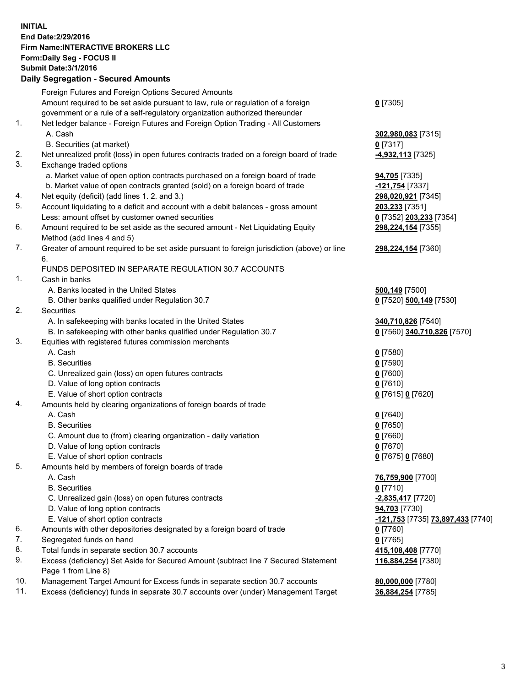## **INITIAL End Date:2/29/2016 Firm Name:INTERACTIVE BROKERS LLC Form:Daily Seg - FOCUS II Submit Date:3/1/2016 Daily Segregation - Secured Amounts**

|     | Foreign Futures and Foreign Options Secured Amounts                                         |                                   |
|-----|---------------------------------------------------------------------------------------------|-----------------------------------|
|     | Amount required to be set aside pursuant to law, rule or regulation of a foreign            | $0$ [7305]                        |
|     | government or a rule of a self-regulatory organization authorized thereunder                |                                   |
| 1.  | Net ledger balance - Foreign Futures and Foreign Option Trading - All Customers             |                                   |
|     | A. Cash                                                                                     | 302,980,083 [7315]                |
|     | B. Securities (at market)                                                                   | $0$ [7317]                        |
| 2.  | Net unrealized profit (loss) in open futures contracts traded on a foreign board of trade   | 4,932,113 [7325]                  |
| 3.  | Exchange traded options                                                                     |                                   |
|     | a. Market value of open option contracts purchased on a foreign board of trade              | 94,705 [7335]                     |
|     | b. Market value of open contracts granted (sold) on a foreign board of trade                | 121,754 [7337]                    |
| 4.  | Net equity (deficit) (add lines 1.2. and 3.)                                                | 298,020,921 [7345]                |
| 5.  | Account liquidating to a deficit and account with a debit balances - gross amount           | 203,233 [7351]                    |
|     | Less: amount offset by customer owned securities                                            | 0 [7352] 203,233 [7354]           |
| 6.  | Amount required to be set aside as the secured amount - Net Liquidating Equity              | 298,224,154 [7355]                |
|     | Method (add lines 4 and 5)                                                                  |                                   |
| 7.  | Greater of amount required to be set aside pursuant to foreign jurisdiction (above) or line | 298,224,154 [7360]                |
|     | 6.                                                                                          |                                   |
|     | FUNDS DEPOSITED IN SEPARATE REGULATION 30.7 ACCOUNTS                                        |                                   |
| 1.  | Cash in banks                                                                               |                                   |
|     | A. Banks located in the United States                                                       | <b>500,149</b> [7500]             |
|     | B. Other banks qualified under Regulation 30.7                                              | 0 [7520] 500,149 [7530]           |
| 2.  | Securities                                                                                  |                                   |
|     | A. In safekeeping with banks located in the United States                                   | 340,710,826 [7540]                |
|     | B. In safekeeping with other banks qualified under Regulation 30.7                          | 0 [7560] 340,710,826 [7570]       |
| 3.  | Equities with registered futures commission merchants                                       |                                   |
|     | A. Cash                                                                                     | $0$ [7580]                        |
|     | <b>B.</b> Securities                                                                        | $0$ [7590]                        |
|     | C. Unrealized gain (loss) on open futures contracts                                         | $0$ [7600]                        |
|     | D. Value of long option contracts                                                           | $0$ [7610]                        |
|     | E. Value of short option contracts                                                          | 0 [7615] 0 [7620]                 |
| 4.  | Amounts held by clearing organizations of foreign boards of trade                           |                                   |
|     | A. Cash                                                                                     | $0$ [7640]                        |
|     | <b>B.</b> Securities                                                                        | $0$ [7650]                        |
|     | C. Amount due to (from) clearing organization - daily variation                             | $0$ [7660]                        |
|     | D. Value of long option contracts                                                           | $0$ [7670]                        |
|     | E. Value of short option contracts                                                          | 0 [7675] 0 [7680]                 |
| 5.  | Amounts held by members of foreign boards of trade                                          |                                   |
|     | A. Cash                                                                                     | 76,759,900 [7700]                 |
|     | <b>B.</b> Securities                                                                        | $0$ [7710]                        |
|     | C. Unrealized gain (loss) on open futures contracts                                         | -2,835,417 [7720]                 |
|     | D. Value of long option contracts                                                           | 94,703 [7730]                     |
|     | E. Value of short option contracts                                                          | -121,753 [7735] 73,897,433 [7740] |
| 6.  | Amounts with other depositories designated by a foreign board of trade                      | $0$ [7760]                        |
| 7.  | Segregated funds on hand                                                                    | $0$ [7765]                        |
| 8.  | Total funds in separate section 30.7 accounts                                               | 415,108,408 [7770]                |
| 9.  | Excess (deficiency) Set Aside for Secured Amount (subtract line 7 Secured Statement         | 116,884,254 [7380]                |
|     | Page 1 from Line 8)                                                                         |                                   |
| 10. | Management Target Amount for Excess funds in separate section 30.7 accounts                 | 80,000,000 [7780]                 |
| 11. | Excess (deficiency) funds in separate 30.7 accounts over (under) Management Target          | 36,884,254 [7785]                 |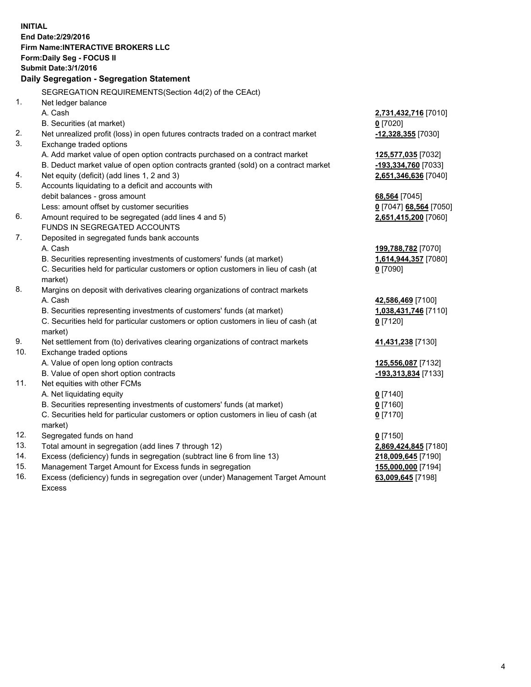**INITIAL End Date:2/29/2016 Firm Name:INTERACTIVE BROKERS LLC Form:Daily Seg - FOCUS II Submit Date:3/1/2016 Daily Segregation - Segregation Statement** SEGREGATION REQUIREMENTS(Section 4d(2) of the CEAct) 1. Net ledger balance A. Cash **2,731,432,716** [7010] B. Securities (at market) **0** [7020] 2. Net unrealized profit (loss) in open futures contracts traded on a contract market **-12,328,355** [7030] 3. Exchange traded options A. Add market value of open option contracts purchased on a contract market **125,577,035** [7032] B. Deduct market value of open option contracts granted (sold) on a contract market **-193,334,760** [7033] 4. Net equity (deficit) (add lines 1, 2 and 3) **2,651,346,636** [7040] 5. Accounts liquidating to a deficit and accounts with debit balances - gross amount **68,564** [7045] Less: amount offset by customer securities **0** [7047] **68,564** [7050] 6. Amount required to be segregated (add lines 4 and 5) **2,651,415,200** [7060] FUNDS IN SEGREGATED ACCOUNTS 7. Deposited in segregated funds bank accounts A. Cash **199,788,782** [7070] B. Securities representing investments of customers' funds (at market) **1,614,944,357** [7080] C. Securities held for particular customers or option customers in lieu of cash (at market) **0** [7090] 8. Margins on deposit with derivatives clearing organizations of contract markets A. Cash **42,586,469** [7100] B. Securities representing investments of customers' funds (at market) **1,038,431,746** [7110] C. Securities held for particular customers or option customers in lieu of cash (at market) **0** [7120] 9. Net settlement from (to) derivatives clearing organizations of contract markets **41,431,238** [7130] 10. Exchange traded options A. Value of open long option contracts **125,556,087** [7132] B. Value of open short option contracts **-193,313,834** [7133] 11. Net equities with other FCMs A. Net liquidating equity **0** [7140] B. Securities representing investments of customers' funds (at market) **0** [7160] C. Securities held for particular customers or option customers in lieu of cash (at market) **0** [7170] 12. Segregated funds on hand **0** [7150] 13. Total amount in segregation (add lines 7 through 12) **2,869,424,845** [7180] 14. Excess (deficiency) funds in segregation (subtract line 6 from line 13) **218,009,645** [7190] 15. Management Target Amount for Excess funds in segregation **155,000,000** [7194] **63,009,645** [7198]

16. Excess (deficiency) funds in segregation over (under) Management Target Amount Excess